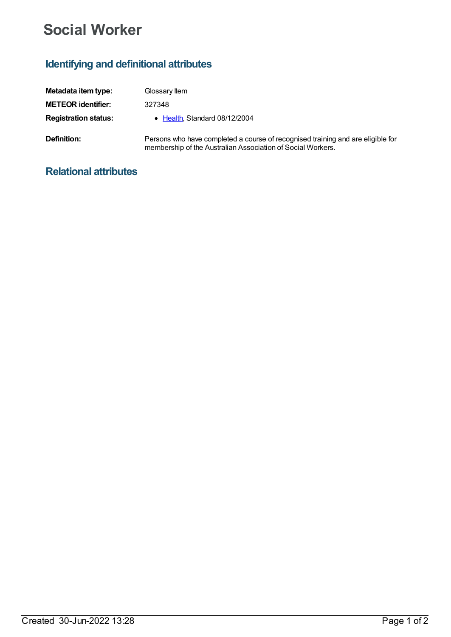## **Social Worker**

## **Identifying and definitional attributes**

| Metadata item type:         | Glossary Item                                                                                                                                  |
|-----------------------------|------------------------------------------------------------------------------------------------------------------------------------------------|
| <b>METEOR</b> identifier:   | 327348                                                                                                                                         |
| <b>Registration status:</b> | • Health, Standard 08/12/2004                                                                                                                  |
| Definition:                 | Persons who have completed a course of recognised training and are eligible for<br>membership of the Australian Association of Social Workers. |

## **Relational attributes**